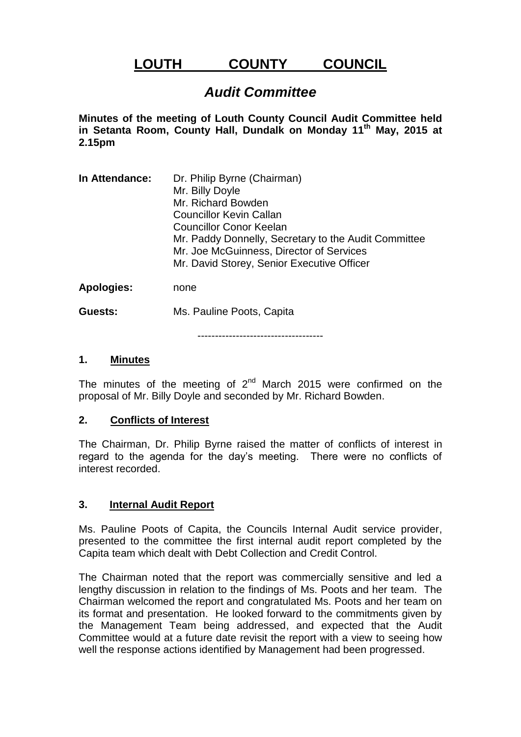# **LOUTH COUNTY COUNCIL**

# *Audit Committee*

**Minutes of the meeting of Louth County Council Audit Committee held in Setanta Room, County Hall, Dundalk on Monday 11th May, 2015 at 2.15pm**

**In Attendance:** Dr. Philip Byrne (Chairman) Mr. Billy Doyle Mr. Richard Bowden Councillor Kevin Callan Councillor Conor Keelan Mr. Paddy Donnelly, Secretary to the Audit Committee Mr. Joe McGuinness, Director of Services Mr. David Storey, Senior Executive Officer

**Apologies:** none

**Guests:** Ms. Pauline Poots, Capita

------------------------------------

#### **1. Minutes**

The minutes of the meeting of  $2<sup>nd</sup>$  March 2015 were confirmed on the proposal of Mr. Billy Doyle and seconded by Mr. Richard Bowden.

#### **2. Conflicts of Interest**

The Chairman, Dr. Philip Byrne raised the matter of conflicts of interest in regard to the agenda for the day's meeting. There were no conflicts of interest recorded.

#### **3. Internal Audit Report**

Ms. Pauline Poots of Capita, the Councils Internal Audit service provider, presented to the committee the first internal audit report completed by the Capita team which dealt with Debt Collection and Credit Control.

The Chairman noted that the report was commercially sensitive and led a lengthy discussion in relation to the findings of Ms. Poots and her team. The Chairman welcomed the report and congratulated Ms. Poots and her team on its format and presentation. He looked forward to the commitments given by the Management Team being addressed, and expected that the Audit Committee would at a future date revisit the report with a view to seeing how well the response actions identified by Management had been progressed.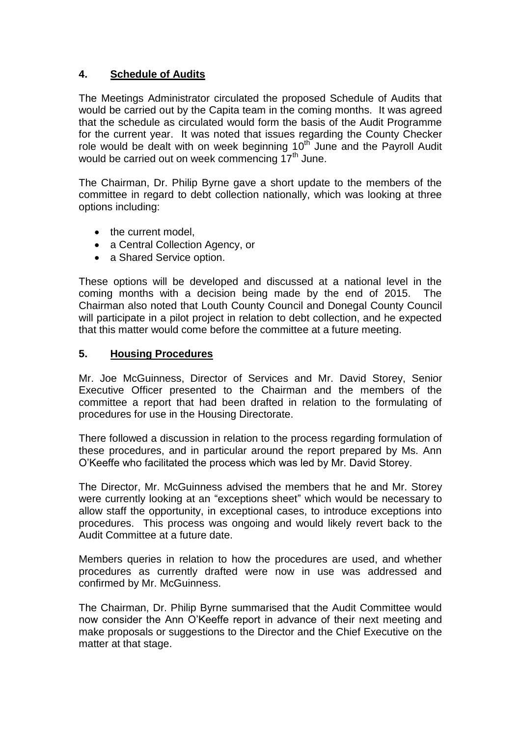### **4. Schedule of Audits**

The Meetings Administrator circulated the proposed Schedule of Audits that would be carried out by the Capita team in the coming months. It was agreed that the schedule as circulated would form the basis of the Audit Programme for the current year. It was noted that issues regarding the County Checker role would be dealt with on week beginning  $10^{th}$  June and the Payroll Audit would be carried out on week commencing 17<sup>th</sup> June.

The Chairman, Dr. Philip Byrne gave a short update to the members of the committee in regard to debt collection nationally, which was looking at three options including:

- the current model,
- a Central Collection Agency, or
- a Shared Service option.

These options will be developed and discussed at a national level in the coming months with a decision being made by the end of 2015. The Chairman also noted that Louth County Council and Donegal County Council will participate in a pilot project in relation to debt collection, and he expected that this matter would come before the committee at a future meeting.

#### **5. Housing Procedures**

Mr. Joe McGuinness, Director of Services and Mr. David Storey, Senior Executive Officer presented to the Chairman and the members of the committee a report that had been drafted in relation to the formulating of procedures for use in the Housing Directorate.

There followed a discussion in relation to the process regarding formulation of these procedures, and in particular around the report prepared by Ms. Ann O'Keeffe who facilitated the process which was led by Mr. David Storey.

The Director, Mr. McGuinness advised the members that he and Mr. Storey were currently looking at an "exceptions sheet" which would be necessary to allow staff the opportunity, in exceptional cases, to introduce exceptions into procedures. This process was ongoing and would likely revert back to the Audit Committee at a future date.

Members queries in relation to how the procedures are used, and whether procedures as currently drafted were now in use was addressed and confirmed by Mr. McGuinness.

The Chairman, Dr. Philip Byrne summarised that the Audit Committee would now consider the Ann O'Keeffe report in advance of their next meeting and make proposals or suggestions to the Director and the Chief Executive on the matter at that stage.